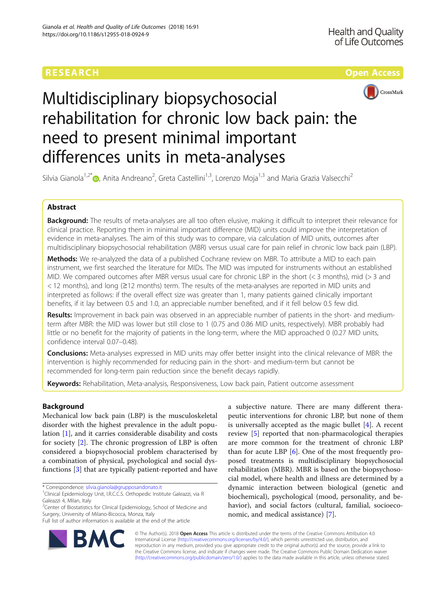# **RESEARCH CH Open Access**



# Multidisciplinary biopsychosocial rehabilitation for chronic low back pain: the need to present minimal important differences units in meta-analyses

Silvia Gianola<sup>1,2\*</sup>®, Anita Andreano<sup>2</sup>, Greta Castellini<sup>1,3</sup>, Lorenzo Moja<sup>1,3</sup> and Maria Grazia Valsecchi<sup>2</sup>

# Abstract

Background: The results of meta-analyses are all too often elusive, making it difficult to interpret their relevance for clinical practice. Reporting them in minimal important difference (MID) units could improve the interpretation of evidence in meta-analyses. The aim of this study was to compare, via calculation of MID units, outcomes after multidisciplinary biopsychosocial rehabilitation (MBR) versus usual care for pain relief in chronic low back pain (LBP).

Methods: We re-analyzed the data of a published Cochrane review on MBR. To attribute a MID to each pain instrument, we first searched the literature for MIDs. The MID was imputed for instruments without an established MID. We compared outcomes after MBR versus usual care for chronic LBP in the short (< 3 months), mid (> 3 and < 12 months), and long (≥12 months) term. The results of the meta-analyses are reported in MID units and interpreted as follows: if the overall effect size was greater than 1, many patients gained clinically important benefits, if it lay between 0.5 and 1.0, an appreciable number benefited, and if it fell below 0.5 few did.

Results: Improvement in back pain was observed in an appreciable number of patients in the short- and mediumterm after MBR: the MID was lower but still close to 1 (0.75 and 0.86 MID units, respectively). MBR probably had little or no benefit for the majority of patients in the long-term, where the MID approached 0 (0.27 MID units, confidence interval 0.07–0.48).

Conclusions: Meta-analyses expressed in MID units may offer better insight into the clinical relevance of MBR: the intervention is highly recommended for reducing pain in the short- and medium-term but cannot be recommended for long-term pain reduction since the benefit decays rapidly.

Keywords: Rehabilitation, Meta-analysis, Responsiveness, Low back pain, Patient outcome assessment

# Background

Mechanical low back pain (LBP) is the musculoskeletal disorder with the highest prevalence in the adult population [\[1](#page-6-0)], and it carries considerable disability and costs for society [[2\]](#page-6-0). The chronic progression of LBP is often considered a biopsychosocial problem characterised by a combination of physical, psychological and social dysfunctions [\[3](#page-6-0)] that are typically patient-reported and have

\* Correspondence: [silvia.gianola@grupposandonato.it](mailto:silvia.gianola@grupposandonato.it) <sup>1</sup>

RA

<sup>2</sup>Center of Biostatistics for Clinical Epidemiology, School of Medicine and Surgery, University of Milano-Bicocca, Monza, Italy

Full list of author information is available at the end of the article





<sup>&</sup>lt;sup>1</sup>Clinical Epidemiology Unit, I.R.C.C.S. Orthopedic Institute Galeazzi, via R Galeazzi 4, Milan, Italy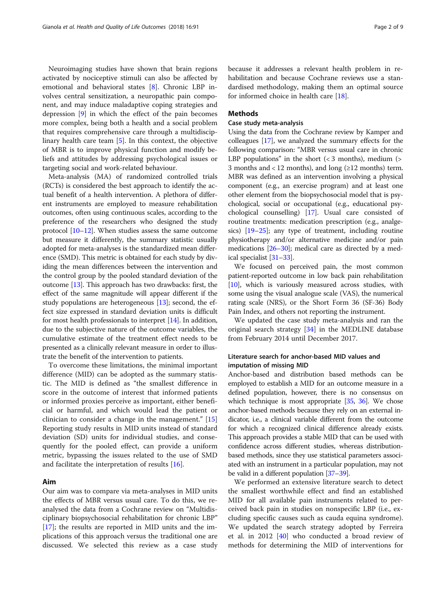Neuroimaging studies have shown that brain regions activated by nociceptive stimuli can also be affected by emotional and behavioral states [\[8](#page-7-0)]. Chronic LBP involves central sensitization, a neuropathic pain component, and may induce maladaptive coping strategies and depression [[9\]](#page-7-0) in which the effect of the pain becomes more complex, being both a health and a social problem that requires comprehensive care through a multidisciplinary health care team [\[5](#page-6-0)]. In this context, the objective of MBR is to improve physical function and modify beliefs and attitudes by addressing psychological issues or targeting social and work-related behaviour.

Meta-analysis (MA) of randomized controlled trials (RCTs) is considered the best approach to identify the actual benefit of a health intervention. A plethora of different instruments are employed to measure rehabilitation outcomes, often using continuous scales, according to the preference of the researchers who designed the study protocol [[10](#page-7-0)–[12\]](#page-7-0). When studies assess the same outcome but measure it differently, the summary statistic usually adopted for meta-analyses is the standardized mean difference (SMD). This metric is obtained for each study by dividing the mean differences between the intervention and the control group by the pooled standard deviation of the outcome [[13](#page-7-0)]. This approach has two drawbacks: first, the effect of the same magnitude will appear different if the study populations are heterogeneous [\[13\]](#page-7-0); second, the effect size expressed in standard deviation units is difficult for most health professionals to interpret [[14](#page-7-0)]. In addition, due to the subjective nature of the outcome variables, the cumulative estimate of the treatment effect needs to be presented as a clinically relevant measure in order to illustrate the benefit of the intervention to patients.

To overcome these limitations, the minimal important difference (MID) can be adopted as the summary statistic. The MID is defined as "the smallest difference in score in the outcome of interest that informed patients or informed proxies perceive as important, either beneficial or harmful, and which would lead the patient or clinician to consider a change in the management." [[15](#page-7-0)] Reporting study results in MID units instead of standard deviation (SD) units for individual studies, and consequently for the pooled effect, can provide a uniform metric, bypassing the issues related to the use of SMD and facilitate the interpretation of results [[16\]](#page-7-0).

# Aim

Our aim was to compare via meta-analyses in MID units the effects of MBR versus usual care. To do this, we reanalysed the data from a Cochrane review on "Multidisciplinary biopsychosocial rehabilitation for chronic LBP" [[17\]](#page-7-0); the results are reported in MID units and the implications of this approach versus the traditional one are discussed. We selected this review as a case study

because it addresses a relevant health problem in rehabilitation and because Cochrane reviews use a standardised methodology, making them an optimal source for informed choice in health care [[18\]](#page-7-0).

# Methods

# Case study meta-analysis

Using the data from the Cochrane review by Kamper and colleagues [\[17\]](#page-7-0), we analyzed the summary effects for the following comparison: "MBR versus usual care in chronic LBP populations" in the short  $\left( < 3 \right)$  months), medium  $\left( > \right)$ 3 months and < 12 months), and long ( $\geq$ 12 months) term. MBR was defined as an intervention involving a physical component (e.g., an exercise program) and at least one other element from the biopsychosocial model that is psychological, social or occupational (e.g., educational psychological counselling) [[17](#page-7-0)]. Usual care consisted of routine treatments: medication prescription (e.g., analgesics) [\[19](#page-7-0)–[25](#page-7-0)]; any type of treatment, including routine physiotherapy and/or alternative medicine and/or pain medications [[26](#page-7-0)–[30\]](#page-7-0); medical care as directed by a medical specialist [[31](#page-7-0)–[33\]](#page-7-0).

We focused on perceived pain, the most common patient-reported outcome in low back pain rehabilitation [[10](#page-7-0)], which is variously measured across studies, with some using the visual analogue scale (VAS), the numerical rating scale (NRS), or the Short Form 36 (SF-36) Body Pain Index, and others not reporting the instrument.

We updated the case study meta-analysis and ran the original search strategy [\[34](#page-7-0)] in the MEDLINE database from February 2014 until December 2017.

# Literature search for anchor-based MID values and imputation of missing MID

Anchor-based and distribution based methods can be employed to establish a MID for an outcome measure in a defined population, however, there is no consensus on which technique is most appropriate [\[35](#page-7-0), [36](#page-7-0)]. We chose anchor-based methods because they rely on an external indicator, i.e., a clinical variable different from the outcome for which a recognized clinical difference already exists. This approach provides a stable MID that can be used with confidence across different studies, whereas distributionbased methods, since they use statistical parameters associated with an instrument in a particular population, may not be valid in a different population [\[37](#page-7-0)–[39\]](#page-7-0).

We performed an extensive literature search to detect the smallest worthwhile effect and find an established MID for all available pain instruments related to perceived back pain in studies on nonspecific LBP (i.e., excluding specific causes such as cauda equina syndrome). We updated the search strategy adopted by Ferreira et al. in 2012 [[40](#page-7-0)] who conducted a broad review of methods for determining the MID of interventions for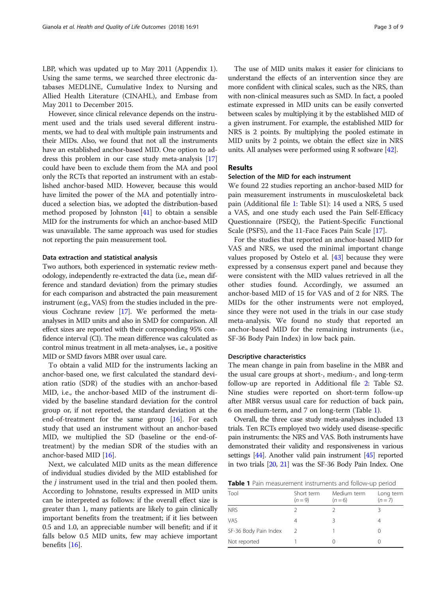LBP, which was updated up to May 2011 (Appendix 1). Using the same terms, we searched three electronic databases MEDLINE, Cumulative Index to Nursing and Allied Health Literature (CINAHL), and Embase from May 2011 to December 2015.

However, since clinical relevance depends on the instrument used and the trials used several different instruments, we had to deal with multiple pain instruments and their MIDs. Also, we found that not all the instruments have an established anchor-based MID. One option to address this problem in our case study meta-analysis [[17](#page-7-0)] could have been to exclude them from the MA and pool only the RCTs that reported an instrument with an established anchor-based MID. However, because this would have limited the power of the MA and potentially introduced a selection bias, we adopted the distribution-based method proposed by Johnston [[41](#page-7-0)] to obtain a sensible MID for the instruments for which an anchor-based MID was unavailable. The same approach was used for studies not reporting the pain measurement tool.

#### Data extraction and statistical analysis

Two authors, both experienced in systematic review methodology, independently re-extracted the data (i.e., mean difference and standard deviation) from the primary studies for each comparison and abstracted the pain measurement instrument (e.g., VAS) from the studies included in the previous Cochrane review [[17\]](#page-7-0). We performed the metaanalyses in MID units and also in SMD for comparison. All effect sizes are reported with their corresponding 95% confidence interval (CI). The mean difference was calculated as control minus treatment in all meta-analyses, i.e., a positive MID or SMD favors MBR over usual care.

To obtain a valid MID for the instruments lacking an anchor-based one, we first calculated the standard deviation ratio (SDR) of the studies with an anchor-based MID, i.e., the anchor-based MID of the instrument divided by the baseline standard deviation for the control group or, if not reported, the standard deviation at the end-of-treatment for the same group [[16](#page-7-0)]. For each study that used an instrument without an anchor-based MID, we multiplied the SD (baseline or the end-oftreatment) by the median SDR of the studies with an anchor-based MID [[16\]](#page-7-0).

Next, we calculated MID units as the mean difference of individual studies divided by the MID established for the *j* instrument used in the trial and then pooled them. According to Johnstone, results expressed in MID units can be interpreted as follows: if the overall effect size is greater than 1, many patients are likely to gain clinically important benefits from the treatment; if it lies between 0.5 and 1.0, an appreciable number will benefit; and if it falls below 0.5 MID units, few may achieve important benefits [[16](#page-7-0)].

The use of MID units makes it easier for clinicians to understand the effects of an intervention since they are more confident with clinical scales, such as the NRS, than with non-clinical measures such as SMD. In fact, a pooled estimate expressed in MID units can be easily converted between scales by multiplying it by the established MID of a given instrument. For example, the established MID for NRS is 2 points. By multiplying the pooled estimate in MID units by 2 points, we obtain the effect size in NRS units. All analyses were performed using R software [\[42\]](#page-7-0).

# Results

## Selection of the MID for each instrument

We found 22 studies reporting an anchor-based MID for pain measurement instruments in musculoskeletal back pain (Additional file [1:](#page-6-0) Table S1): 14 used a NRS, 5 used a VAS, and one study each used the Pain Self-Efficacy Questionnaire (PSEQ), the Patient-Specific Functional Scale (PSFS), and the 11-Face Faces Pain Scale [\[17](#page-7-0)].

For the studies that reported an anchor-based MID for VAS and NRS, we used the minimal important change values proposed by Ostelo et al. [[43\]](#page-7-0) because they were expressed by a consensus expert panel and because they were consistent with the MID values retrieved in all the other studies found. Accordingly, we assumed an anchor-based MID of 15 for VAS and of 2 for NRS. The MIDs for the other instruments were not employed, since they were not used in the trials in our case study meta-analysis. We found no study that reported an anchor-based MID for the remaining instruments (i.e., SF-36 Body Pain Index) in low back pain.

#### Descriptive characteristics

The mean change in pain from baseline in the MBR and the usual care groups at short-, medium-, and long-term follow-up are reported in Additional file [2:](#page-6-0) Table S2. Nine studies were reported on short-term follow-up after MBR versus usual care for reduction of back pain, 6 on medium-term, and 7 on long-term (Table 1).

Overall, the three case study meta-analyses included 13 trials. Ten RCTs employed two widely used disease-specific pain instruments: the NRS and VAS. Both instruments have demonstrated their validity and responsiveness in various settings [\[44](#page-7-0)]. Another valid pain instrument [[45](#page-7-0)] reported in two trials [\[20,](#page-7-0) [21\]](#page-7-0) was the SF-36 Body Pain Index. One

Table 1 Pain measurement instruments and follow-up period

| Tool                  | Short term<br>$(n = 9)$ | Medium term<br>$(n=6)$ | Long term<br>$(n=7)$ |
|-----------------------|-------------------------|------------------------|----------------------|
| <b>NRS</b>            |                         |                        |                      |
| VAS                   |                         |                        |                      |
| SF-36 Body Pain Index | $\mathcal{L}$           |                        |                      |
| Not reported          |                         |                        |                      |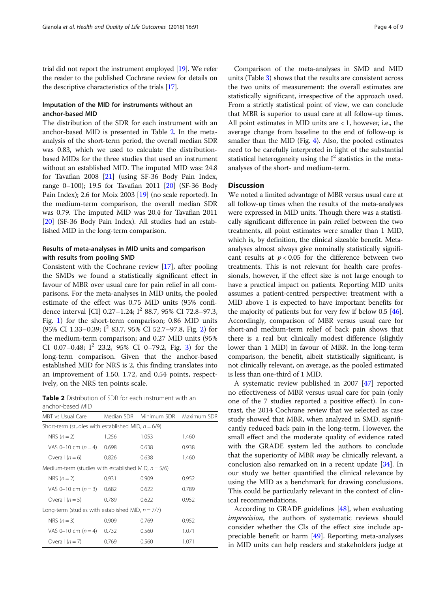trial did not report the instrument employed [\[19\]](#page-7-0). We refer the reader to the published Cochrane review for details on the descriptive characteristics of the trials [\[17](#page-7-0)].

# Imputation of the MID for instruments without an anchor-based MID

The distribution of the SDR for each instrument with an anchor-based MID is presented in Table 2. In the metaanalysis of the short-term period, the overall median SDR was 0.83, which we used to calculate the distributionbased MIDs for the three studies that used an instrument without an established MID. The imputed MID was: 24.8 for Tavafian 2008 [\[21\]](#page-7-0) (using SF-36 Body Pain Index, range 0–100); 19.5 for Tavafian 2011 [[20](#page-7-0)] (SF-36 Body Pain Index); 2.6 for Moix 2003 [[19\]](#page-7-0) (no scale reported). In the medium-term comparison, the overall median SDR was 0.79. The imputed MID was 20.4 for Tavafian 2011 [[20](#page-7-0)] (SF-36 Body Pain Index). All studies had an established MID in the long-term comparison.

# Results of meta-analyses in MID units and comparison with results from pooling SMD

Consistent with the Cochrane review [[17\]](#page-7-0), after pooling the SMDs we found a statistically significant effect in favour of MBR over usual care for pain relief in all comparisons. For the meta-analyses in MID units, the pooled estimate of the effect was 0.75 MID units (95% confidence interval [CI]  $0.27-1.24$ ;  $I^2$  88.7, 95% CI 72.8-97.3, Fig. [1\)](#page-4-0) for the short-term comparison; 0.86 MID units  $(95\% \text{ CI } 1.33-0.39; \text{ I}^2 \text{ 83.7}, 95\% \text{ CI } 52.7-97.8, \text{ Fig. 2} \text{ for }$  $(95\% \text{ CI } 1.33-0.39; \text{ I}^2 \text{ 83.7}, 95\% \text{ CI } 52.7-97.8, \text{ Fig. 2} \text{ for }$  $(95\% \text{ CI } 1.33-0.39; \text{ I}^2 \text{ 83.7}, 95\% \text{ CI } 52.7-97.8, \text{ Fig. 2} \text{ for }$ the medium-term comparison; and 0.27 MID units (95% CI 0.07–0.48;  $I^2$  2[3](#page-5-0).2, 95% CI 0–79.2, Fig. 3) for the long-term comparison. Given that the anchor-based established MID for NRS is 2, this finding translates into an improvement of 1.50, 1.72, and 0.54 points, respectively, on the NRS ten points scale.

**Table 2** Distribution of SDR for each instrument with an anchor-based MID

| MBT vs Usual Care                                      | Median SDR | Minimum SDR | Maximum SDR |
|--------------------------------------------------------|------------|-------------|-------------|
| Short-term (studies with established MID, $n = 6/9$ )  |            |             |             |
| NRS $(n=2)$                                            | 1.256      | 1.053       | 1.460       |
| VAS 0-10 cm $(n=4)$                                    | 0.698      | 0.638       | 0.938       |
| Overall $(n = 6)$                                      | 0.826      | 0.638       | 1.460       |
| Medium-term (studies with established MID, $n = 5/6$ ) |            |             |             |
| NRS $(n=2)$                                            | 0.931      | 0.909       | 0.952       |
| VAS 0-10 cm $(n=3)$                                    | 0.682      | 0.622       | 0.789       |
| Overall $(n = 5)$                                      | 0.789      | 0.622       | 0.952       |
| Long-term (studies with established MID, $n = 7/7$ )   |            |             |             |
| NRS $(n=3)$                                            | 0.909      | 0.769       | 0.952       |
| VAS 0-10 cm $(n=4)$                                    | 0.732      | 0.560       | 1.071       |
| Overall $(n = 7)$                                      | 0.769      | 0.560       | 1.071       |

Comparison of the meta-analyses in SMD and MID units (Table [3\)](#page-5-0) shows that the results are consistent across the two units of measurement: the overall estimates are statistically significant, irrespective of the approach used. From a strictly statistical point of view, we can conclude that MBR is superior to usual care at all follow-up times. All point estimates in MID units are  $< 1$ , however, i.e., the average change from baseline to the end of follow-up is smaller than the MID (Fig. [4\)](#page-6-0). Also, the pooled estimates need to be carefully interpreted in light of the substantial statistical heterogeneity using the  $I<sup>2</sup>$  statistics in the metaanalyses of the short- and medium-term.

# **Discussion**

We noted a limited advantage of MBR versus usual care at all follow-up times when the results of the meta-analyses were expressed in MID units. Though there was a statistically significant difference in pain relief between the two treatments, all point estimates were smaller than 1 MID, which is, by definition, the clinical sizeable benefit. Metaanalyses almost always give nominally statistically significant results at  $p < 0.05$  for the difference between two treatments. This is not relevant for health care professionals, however, if the effect size is not large enough to have a practical impact on patients. Reporting MID units assumes a patient-centred perspective: treatment with a MID above 1 is expected to have important benefits for the majority of patients but for very few if below 0.5 [[46](#page-7-0)]. Accordingly, comparison of MBR versus usual care for short-and medium-term relief of back pain shows that there is a real but clinically modest difference (slightly lower than 1 MID) in favour of MBR. In the long-term comparison, the benefit, albeit statistically significant, is not clinically relevant, on average, as the pooled estimated is less than one-third of 1 MID.

A systematic review published in 2007 [\[47\]](#page-7-0) reported no effectiveness of MBR versus usual care for pain (only one of the 7 studies reported a positive effect). In contrast, the 2014 Cochrane review that we selected as case study showed that MBR, when analyzed in SMD, significantly reduced back pain in the long-term. However, the small effect and the moderate quality of evidence rated with the GRADE system led the authors to conclude that the superiority of MBR *may* be clinically relevant, a conclusion also remarked on in a recent update [\[34](#page-7-0)]. In our study we better quantified the clinical relevance by using the MID as a benchmark for drawing conclusions. This could be particularly relevant in the context of clinical recommendations.

According to GRADE guidelines [\[48](#page-7-0)], when evaluating imprecision, the authors of systematic reviews should consider whether the CIs of the effect size include appreciable benefit or harm  $[49]$  $[49]$  $[49]$ . Reporting meta-analyses in MID units can help readers and stakeholders judge at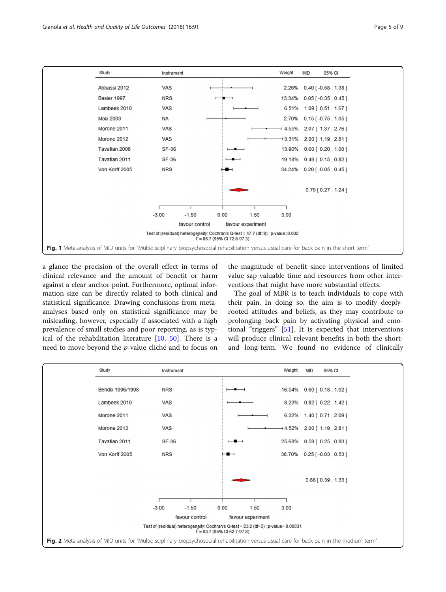<span id="page-4-0"></span>

a glance the precision of the overall effect in terms of clinical relevance and the amount of benefit or harm against a clear anchor point. Furthermore, optimal information size can be directly related to both clinical and statistical significance. Drawing conclusions from metaanalyses based only on statistical significance may be misleading, however, especially if associated with a high prevalence of small studies and poor reporting, as is typical of the rehabilitation literature [[10,](#page-7-0) [50](#page-7-0)]. There is a need to move beyond the p-value cliché and to focus on

the magnitude of benefit since interventions of limited value sap valuable time and resources from other interventions that might have more substantial effects.

The goal of MBR is to teach individuals to cope with their pain. In doing so, the aim is to modify deeplyrooted attitudes and beliefs, as they may contribute to prolonging back pain by activating physical and emotional "triggers" [\[51\]](#page-8-0). It is expected that interventions will produce clinical relevant benefits in both the shortand long-term. We found no evidence of clinically

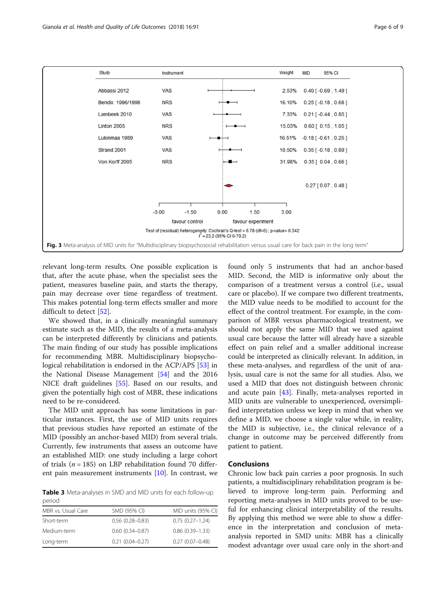<span id="page-5-0"></span>

relevant long-term results. One possible explication is that, after the acute phase, when the specialist sees the patient, measures baseline pain, and starts the therapy, pain may decrease over time regardless of treatment. This makes potential long-term effects smaller and more difficult to detect [\[52](#page-8-0)].

We showed that, in a clinically meaningful summary estimate such as the MID, the results of a meta-analysis can be interpreted differently by clinicians and patients. The main finding of our study has possible implications for recommending MBR. Multidisciplinary biopsychological rehabilitation is endorsed in the ACP/APS [[53](#page-8-0)] in the National Disease Management [[54\]](#page-8-0) and the 2016 NICE draft guidelines [[55\]](#page-8-0). Based on our results, and given the potentially high cost of MBR, these indications need to be re-considered.

The MID unit approach has some limitations in particular instances. First, the use of MID units requires that previous studies have reported an estimate of the MID (possibly an anchor-based MID) from several trials. Currently, few instruments that assess an outcome have an established MID: one study including a large cohort of trials ( $n = 185$ ) on LBP rehabilitation found 70 different pain measurement instruments [\[10](#page-7-0)]. In contrast, we

Table 3 Meta-analyses in SMD and MID units for each follow-up period

| MBR vs. Usual Care | SMD (95% CI)        | MID units (95% CI)  |  |  |
|--------------------|---------------------|---------------------|--|--|
| Short-term         | $0.56(0.28 - 0.83)$ | $0.75(0.27 - 1.24)$ |  |  |
| Medium-term        | $0.60(0.34 - 0.87)$ | $0.86(0.39 - 1.33)$ |  |  |
| Long-term          | $0.21(0.04 - 0.27)$ | $0.27(0.07 - 0.48)$ |  |  |

found only 5 instruments that had an anchor-based MID. Second, the MID is informative only about the comparison of a treatment versus a control (i.e., usual care or placebo). If we compare two different treatments, the MID value needs to be modified to account for the effect of the control treatment. For example, in the comparison of MBR versus pharmacological treatment, we should not apply the same MID that we used against usual care because the latter will already have a sizeable effect on pain relief and a smaller additional increase could be interpreted as clinically relevant. In addition, in these meta-analyses, and regardless of the unit of analysis, usual care is not the same for all studies. Also, we used a MID that does not distinguish between chronic and acute pain [\[43\]](#page-7-0). Finally, meta-analyses reported in MID units are vulnerable to unexperienced, oversimplified interpretation unless we keep in mind that when we define a MID, we choose a single value while, in reality, the MID is subjective, i.e., the clinical relevance of a change in outcome may be perceived differently from patient to patient.

# Conclusions

Chronic low back pain carries a poor prognosis. In such patients, a multidisciplinary rehabilitation program is believed to improve long-term pain. Performing and reporting meta-analyses in MID units proved to be useful for enhancing clinical interpretability of the results. By applying this method we were able to show a difference in the interpretation and conclusion of metaanalysis reported in SMD units: MBR has a clinically modest advantage over usual care only in the short-and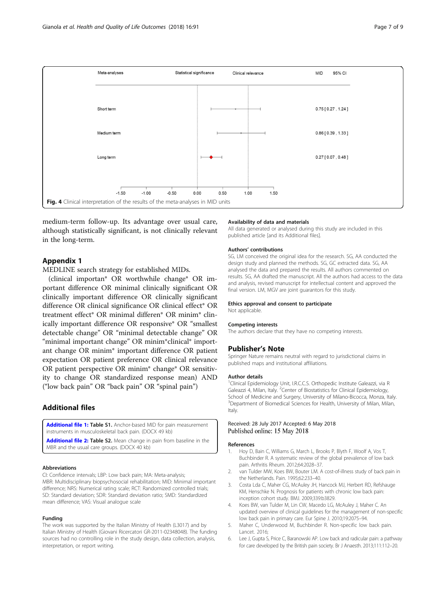<span id="page-6-0"></span>

medium-term follow-up. Its advantage over usual care, although statistically significant, is not clinically relevant in the long-term.

# Appendix 1

MEDLINE search strategy for established MIDs.

(clinical importan\* OR worthwhile change\* OR important difference OR minimal clinically significant OR clinically important difference OR clinically significant difference OR clinical significance OR clinical effect\* OR treatment effect\* OR minimal differen\* OR minim\* clinically important difference OR responsive\* OR "smallest detectable change" OR "minimal detectable change" OR "minimal important change" OR minim\*clinical\* important change OR minim\* important difference OR patient expectation OR patient preference OR clinical relevance OR patient perspective OR minim\* change\* OR sensitivity to change OR standardized response mean) AND ("low back pain" OR "back pain" OR "spinal pain")

# Additional files

[Additional file 1:](https://doi.org/10.1186/s12955-018-0924-9) Table S1. Anchor-based MID for pain measurement instruments in musculoskeletal back pain. (DOCX 49 kb)

[Additional file 2:](https://doi.org/10.1186/s12955-018-0924-9) Table S2. Mean change in pain from baseline in the MBR and the usual care groups. (DOCX 40 kb)

#### Abbreviations

CI: Confidence intervals; LBP: Low back pain; MA: Meta-analysis; MBR: Multidisciplinary biopsychosocial rehabilitation; MID: Minimal important difference; NRS: Numerical rating scale; RCT: Randomized controlled trials; SD: Standard deviation; SDR: Standard deviation ratio; SMD: Standardized mean difference; VAS: Visual analogue scale

#### Funding

The work was supported by the Italian Ministry of Health (L3017) and by Italian Ministry of Health (Giovani Ricercatori GR-2011-02348048). The funding sources had no controlling role in the study design, data collection, analysis, interpretation, or report writing.

## Availability of data and materials

All data generated or analysed during this study are included in this published article [and its Additional files].

#### Authors' contributions

SG, LM conceived the original idea for the research. SG, AA conducted the design study and planned the methods. SG, GC extracted data. SG, AA analysed the data and prepared the results. All authors commented on results. SG, AA drafted the manuscript. All the authors had access to the data and analysis, revised manuscript for intellectual content and approved the final version. LM, MGV are joint guarantors for this study.

#### Ethics approval and consent to participate

Not applicable.

#### Competing interests

The authors declare that they have no competing interests.

#### Publisher's Note

Springer Nature remains neutral with regard to jurisdictional claims in published maps and institutional affiliations.

#### Author details

<sup>1</sup>Clinical Epidemiology Unit, I.R.C.C.S. Orthopedic Institute Galeazzi, via R Galeazzi 4, Milan, Italy. <sup>2</sup> Center of Biostatistics for Clinical Epidemiology School of Medicine and Surgery, University of Milano-Bicocca, Monza, Italy. <sup>3</sup>Department of Biomedical Sciences for Health, University of Milan, Milan Italy.

## Received: 28 July 2017 Accepted: 6 May 2018 Published online: 15 May 2018

#### References

- 1. Hoy D, Bain C, Williams G, March L, Brooks P, Blyth F, Woolf A, Vos T, Buchbinder R. A systematic review of the global prevalence of low back pain. Arthritis Rheum. 2012;64:2028–37.
- 2. van Tulder MW, Koes BW, Bouter LM. A cost-of-illness study of back pain in the Netherlands. Pain. 1995;62:233–40.
- Costa Lda C, Maher CG, McAuley JH, Hancock MJ, Herbert RD, Refshauge KM, Henschke N. Prognosis for patients with chronic low back pain: inception cohort study. BMJ. 2009;339:b3829.
- 4. Koes BW, van Tulder M, Lin CW, Macedo LG, McAuley J, Maher C. An updated overview of clinical guidelines for the management of non-specific low back pain in primary care. Eur Spine J. 2010;19:2075–94.
- 5. Maher C, Underwood M, Buchbinder R. Non-specific low back pain. Lancet. 2016;
- 6. Lee J, Gupta S, Price C, Baranowski AP. Low back and radicular pain: a pathway for care developed by the British pain society. Br J Anaesth. 2013;111:112–20.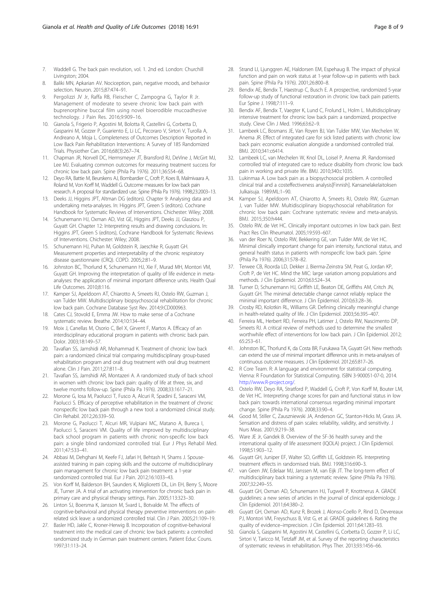- <span id="page-7-0"></span>7. Waddell G. The back pain revolution, vol. 1. 2nd ed. London: Churchill Livingston; 2004.
- 8. Baliki MN, Apkarian AV. Nociception, pain, negative moods, and behavior selection. Neuron. 2015;87:474–91.
- 9. Pergolizzi JV Jr, Raffa RB, Fleischer C, Zampogna G, Taylor R Jr. Management of moderate to severe chronic low back pain with buprenorphine buccal film using novel bioerodible mucoadhesive technology. J Pain Res. 2016;9:909–16.
- 10. Gianola S, Frigerio P, Agostini M, Bolotta R, Castellini G, Corbetta D, Gasparini M, Gozzer P, Guariento E, Li LC, Pecoraro V, Sirtori V, Turolla A, Andreano A, Moja L. Completeness of Outcomes Description Reported in Low Back Pain Rehabilitation Interventions: A Survey of 185 Randomized Trials. Physiother Can. 2016;68(3):267–74.
- 11. Chapman JR, Norvell DC, Hermsmeyer JT, Bransford RJ, DeVine J, McGirt MJ, Lee MJ. Evaluating common outcomes for measuring treatment success for chronic low back pain. Spine (Phila Pa 1976). 2011;36:S54–68.
- 12. Deyo RA, Battie M, Beurskens AJ, Bombardier C, Croft P, Koes B, Malmivaara A, Roland M, Von Korff M, Waddell G. Outcome measures for low back pain research. A proposal for standardized use. Spine (Phila Pa 1976). 1998;23:2003–13.
- 13. Deeks JJ, Higgins JPT, Altman DG (editors). Chapter 9: Analysing data and undertaking meta-analyses. In: Higgins JPT, Green S (editors). Cochrane Handbook for Systematic Reviews of Interventions. Chichester: Wiley; 2008.
- 14. Schunemann HJ, Oxman AD, Vist GE, Higgins JPT, Deeks JJ, Glasziou P, Guyatt GH. Chapter 12: Interpreting results and drawing conclusions. In: Higgins JPT, Green S (editors), Cochrane Handbook for Systematic Reviews of Interventions. Chichester: Wiley; 2008.
- 15. Schunemann HJ, Puhan M, Goldstein R, Jaeschke R, Guyatt GH. Measurement properties and interpretability of the chronic respiratory disease questionnaire (CRQ). COPD. 2005;2:81–9.
- 16. Johnston BC, Thorlund K, Schunemann HJ, Xie F, Murad MH, Montori VM, Guyatt GH. Improving the interpretation of quality of life evidence in metaanalyses: the application of minimal important difference units. Health Qual Life Outcomes. 2010;8:116.
- 17. Kamper SJ, Apeldoorn AT, Chiarotto A, Smeets RJ, Ostelo RW, Guzman J, van Tulder MW. Multidisciplinary biopsychosocial rehabilitation for chronic low back pain. Cochrane Database Syst Rev. 2014;9:CD000963.
- 18. Cates CJ, Stovold E, Emma JW. How to make sense of a Cochrane systematic review. Breathe. 2014;10:134–44.
- 19. Moix J, Canellas M, Osorio C, Bel X, Girvent F, Martos A. Efficacy of an interdisciplinary educational program in patients with chronic back pain. Dolor. 2003;18:149–57.
- 20. Tavafian SS, Jamshidi AR, Mohammad K. Treatment of chronic low back pain: a randomized clinical trial comparing multidisciplinary group-based rehabilitation program and oral drug treatment with oral drug treatment alone. Clin J Pain. 2011;27:811–8.
- 21. Tavafian SS, Jamshidi AR, Montazeri A. A randomized study of back school in women with chronic low back pain: quality of life at three, six, and twelve months follow-up. Spine (Phila Pa 1976). 2008;33:1617–21.
- 22. Morone G, Iosa M, Paolucci T, Fusco A, Alcuri R, Spadini E, Saraceni VM, Paolucci S. Efficacy of perceptive rehabilitation in the treatment of chronic nonspecific low back pain through a new tool: a randomized clinical study. Clin Rehabil. 2012;26:339–50.
- 23. Morone G, Paolucci T, Alcuri MR, Vulpiani MC, Matano A, Bureca I, Paolucci S, Saraceni VM. Quality of life improved by multidisciplinary back school program in patients with chronic non-specific low back pain: a single blind randomized controlled trial. Eur J Phys Rehabil Med. 2011;47:533–41.
- 24. Abbasi M, Dehghani M, Keefe FJ, Jafari H, Behtash H, Shams J. Spouseassisted training in pain coping skills and the outcome of multidisciplinary pain management for chronic low back pain treatment: a 1-year randomized controlled trial. Eur J Pain. 2012;16:1033–43.
- 25. Von Korff M, Balderson BH, Saunders K, Miglioretti DL, Lin EH, Berry S, Moore JE, Turner JA. A trial of an activating intervention for chronic back pain in primary care and physical therapy settings. Pain. 2005;113:323–30.
- 26. Linton SJ, Boersma K, Jansson M, Svard L, Botvalde M. The effects of cognitive-behavioral and physical therapy preventive interventions on painrelated sick leave: a randomized controlled trial. Clin J Pain. 2005;21:109–19.
- 27. Basler HD, Jakle C, Kroner-Herwig B. Incorporation of cognitive-behavioral treatment into the medical care of chronic low back patients: a controlled randomized study in German pain treatment centers. Patient Educ Couns. 1997;31:113–24.
- 28. Strand LI, Ljunggren AE, Haldorsen EM, Espehaug B. The impact of physical function and pain on work status at 1-year follow-up in patients with back pain. Spine (Phila Pa 1976). 2001;26:800–8.
- 29. Bendix AE, Bendix T, Haestrup C, Busch E. A prospective, randomized 5-year follow-up study of functional restoration in chronic low back pain patients. Eur Spine J. 1998;7:111–9.
- 30. Bendix AF, Bendix T, Vaegter K, Lund C, Frolund L, Holm L. Multidisciplinary intensive treatment for chronic low back pain: a randomized, prospective study. Cleve Clin J Med. 1996;63:62–9.
- 31. Lambeek LC, Bosmans JE, Van Royen BJ, Van Tulder MW, Van Mechelen W, Anema JR. Effect of integrated care for sick listed patients with chronic low back pain: economic evaluation alongside a randomised controlled trial. BMJ. 2010;341:c6414.
- 32. Lambeek LC, van Mechelen W, Knol DL, Loisel P, Anema JR. Randomised controlled trial of integrated care to reduce disability from chronic low back pain in working and private life. BMJ. 2010;340:c1035.
- 33. Lukinmaa A. Low back pain as a biopsychosocial problem. A controlled clinical trial and a costeffectiveness analysis[Finnish]. Kansanelakelaitoksen Julkaisuja. 1989:ML:1–90.
- 34. Kamper SJ, Apeldoorn AT, Chiarotto A, Smeets RJ, Ostelo RW, Guzman J, van Tulder MW. Multidisciplinary biopsychosocial rehabilitation for chronic low back pain: Cochrane systematic review and meta-analysis. BMJ. 2015;350:h444.
- 35. Ostelo RW, de Vet HC. Clinically important outcomes in low back pain. Best Pract Res Clin Rheumatol. 2005;19:593–607.
- 36. van der Roer N, Ostelo RW, Bekkering GE, van Tulder MW, de Vet HC. Minimal clinically important change for pain intensity, functional status, and general health status in patients with nonspecific low back pain. Spine (Phila Pa 1976). 2006;31:578–82.
- 37. Terwee CB, Roorda LD, Dekker J, Bierma-Zeinstra SM, Peat G, Jordan KP, Croft P, de Vet HC. Mind the MIC: large variation among populations and methods. J Clin Epidemiol. 2010;63:524–34.
- 38. Turner D, Schunemann HJ, Griffith LE, Beaton DE, Griffiths AM, Critch JN, Guyatt GH. The minimal detectable change cannot reliably replace the minimal important difference. J Clin Epidemiol. 2010;63:28–36.
- 39. Crosby RD, Kolotkin RL, Williams GR. Defining clinically meaningful change in health-related quality of life. J Clin Epidemiol. 2003;56:395–407.
- 40. Ferreira ML, Herbert RD, Ferreira PH, Latimer J, Ostelo RW, Nascimento DP, Smeets RJ. A critical review of methods used to determine the smallest worthwhile effect of interventions for low back pain. J Clin Epidemiol. 2012; 65:253–61.
- 41. Johnston BC, Thorlund K, da Costa BR, Furukawa TA, Guyatt GH. New methods can extend the use of minimal important difference units in meta-analyses of continuous outcome measures. J Clin Epidemiol. 2012;65:817–26.
- 42. R Core Team. R: A language and environment for statistical computing. Vienna: R Foundation for Statistical Computing. ISBN 3-900051-07-0, 2014. <http://www.R-project.org/>.
- 43. Ostelo RW, Deyo RA, Stratford P, Waddell G, Croft P, Von Korff M, Bouter LM, de Vet HC. Interpreting change scores for pain and functional status in low back pain: towards international consensus regarding minimal important change. Spine (Phila Pa 1976). 2008;33:90–4.
- 44. Good M, Stiller C, Zauszniewski JA, Anderson GC, Stanton-Hicks M, Grass JA. Sensation and distress of pain scales: reliability, validity, and sensitivity. J Nurs Meas. 2001;9:219–38.
- 45. Ware JE Jr, Gandek B. Overview of the SF-36 health survey and the international quality of life assessment (IQOLA) project. J Clin Epidemiol. 1998;51:903–12.
- 46. Guyatt GH, Juniper EF, Walter SD, Griffith LE, Goldstein RS. Interpreting treatment effects in randomised trials. BMJ. 1998;316:690–3.
- 47. van Geen JW, Edelaar MJ, Janssen M, van Eijk JT. The long-term effect of multidisciplinary back training: a systematic review. Spine (Phila Pa 1976). 2007;32:249–55.
- 48. Guyatt GH, Oxman AD, Schunemann HJ, Tugwell P, Knottnerus A. GRADE guidelines: a new series of articles in the journal of clinical epidemiology. J Clin Epidemiol. 2011;64:380–2.
- 49. Guyatt GH, Oxman AD, Kunz R, Brozek J, Alonso-Coello P, Rind D, Devereaux PJ, Montori VM, Freyschuss B, Vist G, et al. GRADE guidelines 6. Rating the quality of evidence–imprecision. J Clin Epidemiol. 2011;64:1283–93.
- Gianola S, Gasparini M, Agostini M, Castellini G, Corbetta D, Gozzer P, Li LC, Sirtori V, Taricco M, Tetzlaff JM, et al. Survey of the reporting characteristics of systematic reviews in rehabilitation. Phys Ther. 2013;93:1456–66.